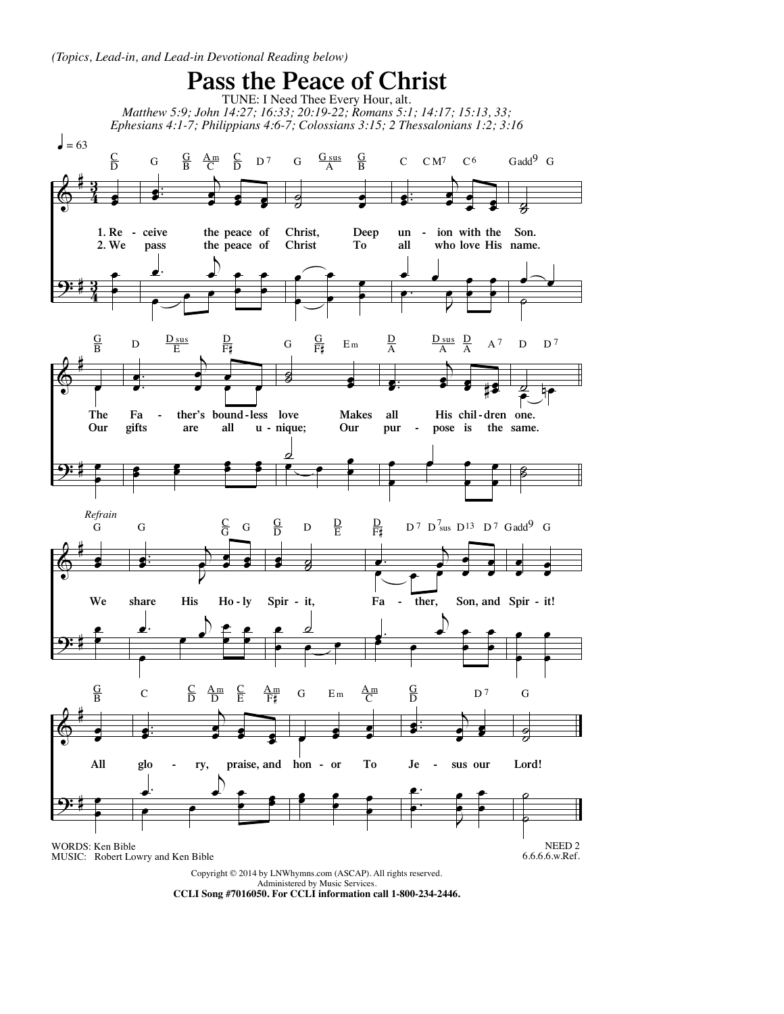

**CCLI Song #7016050. For CCLI information call 1-800-234-2446.**